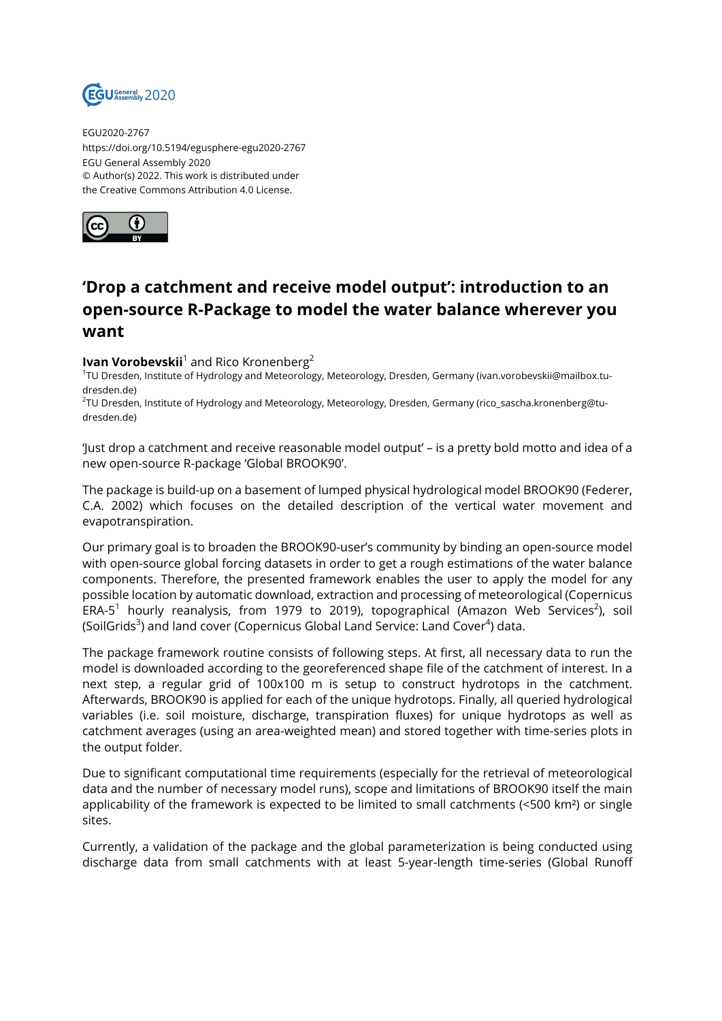

EGU2020-2767 https://doi.org/10.5194/egusphere-egu2020-2767 EGU General Assembly 2020 © Author(s) 2022. This work is distributed under the Creative Commons Attribution 4.0 License.



## **'Drop a catchment and receive model output': introduction to an open-source R-Package to model the water balance wherever you want**

## **Ivan Vorobevskii**<sup>1</sup> and Rico Kronenberg<sup>2</sup>

1 TU Dresden, Institute of Hydrology and Meteorology, Meteorology, Dresden, Germany (ivan.vorobevskii@mailbox.tudresden.de)

2 TU Dresden, Institute of Hydrology and Meteorology, Meteorology, Dresden, Germany (rico\_sascha.kronenberg@tudresden.de)

'Just drop a catchment and receive reasonable model output' – is a pretty bold motto and idea of a new open-source R-package 'Global BROOK90'.

The package is build-up on a basement of lumped physical hydrological model BROOK90 (Federer, C.A. 2002) which focuses on the detailed description of the vertical water movement and evapotranspiration.

Our primary goal is to broaden the BROOK90-user's community by binding an open-source model with open-source global forcing datasets in order to get a rough estimations of the water balance components. Therefore, the presented framework enables the user to apply the model for any possible location by automatic download, extraction and processing of meteorological (Copernicus ERA-5<sup>1</sup> hourly reanalysis, from 1979 to 2019), topographical (Amazon Web Services<sup>2</sup>), soil (SoilGrids<sup>3</sup>) and land cover (Copernicus Global Land Service: Land Cover<sup>4</sup>) data.

The package framework routine consists of following steps. At first, all necessary data to run the model is downloaded according to the georeferenced shape file of the catchment of interest. In a next step, a regular grid of 100x100 m is setup to construct hydrotops in the catchment. Afterwards, BROOK90 is applied for each of the unique hydrotops. Finally, all queried hydrological variables (i.e. soil moisture, discharge, transpiration fluxes) for unique hydrotops as well as catchment averages (using an area-weighted mean) and stored together with time-series plots in the output folder.

Due to significant computational time requirements (especially for the retrieval of meteorological data and the number of necessary model runs), scope and limitations of BROOK90 itself the main applicability of the framework is expected to be limited to small catchments (<500 km²) or single sites.

Currently, a validation of the package and the global parameterization is being conducted using discharge data from small catchments with at least 5-year-length time-series (Global Runoff